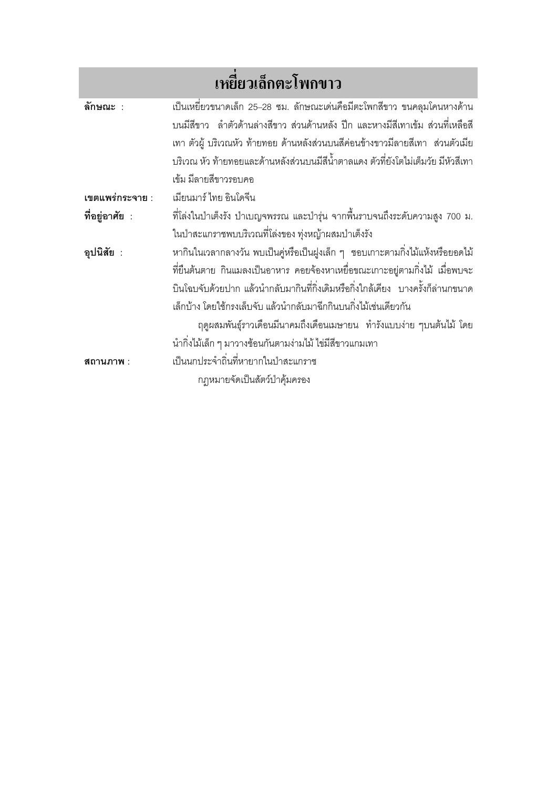|                 | เหยียวเล็กตะโพกขาว                                                                   |
|-----------------|--------------------------------------------------------------------------------------|
| ลักษณะ :        | เป็นเหยี่ยวขนาดเล็ก 25–28 ซม. ลักษณะเด่นคือมีตะโพกสีขาว ขนคลุมโคนหางด้าน             |
|                 | ้บนมีสี่ขาว   ลำตัวด้านล่างสี่ขาว ส่วนด้านหลัง ปีก และหางมีสีเทาเข้ม  ส่วนที่เหลือสี |
|                 | เทา ตัวผู้ บริเวณหัว ท้ายทอย ด้านหลังส่วนบนสีค่อนข้างขาวมีลายสีเทา ส่วนตัวเมีย       |
|                 | บริเวณ หัว ท้ายทอยและด้านหลังส่วนบนมีสีน้ำตาลแดง ตัวที่ยังโตไม่เต็มวัย มีหัวสีเทา    |
|                 | เข้ม มีลายสีขาวรอบคอ                                                                 |
| เขตแพร่กระจาย : | เมียนมาร์ ไทย อินโดจีน                                                               |
| ที่อยู่อาศัย :  | ที่โล่งในป่าเต็งรัง ป่าเบญจพรรณ และป่ารุ่น จากพื้นราบจนถึงระดับความสูง 700 ม.        |
|                 | ในป่าสะแกราชพบบริเวณที่โล่งของ ทุ่งหญ้าผสมป่าเต็งรัง                                 |
| อุปนิสัย :      | หากินในเวลากลางวัน พบเป็นคู่หรือเป็นฝูงเล็ก ๆ  ชอบเกาะตามกิ่งไม้แห้งหรือยอดไม้       |
|                 | ที่ยืนต้นตาย กินแมลงเป็นอาหาร คอยจ้องหาเหยื่อขณะเกาะอยู่ตามกิ่งไม้ เมื่อพบจะ         |
|                 | ้บินโฉบจับด้วยปาก แล้วนำกลับมากินที่กิ่งเดิมหรือกิ่งใกล้เคียง  บางครั้งก็ล่านกขนาด   |
|                 | เล็กบ้าง โดยใช้กรงเล็บจับ แล้วนำกลับมาฉีกกินบนกิ่งไม้เช่นเดียวกัน                    |
|                 | ฤดูผสมพันธุ์ราวเดือนมีนาคมถึงเดือนเมษายน ทำรังแบบง่าย ๆบนต้นไม้ โดย                  |
|                 | ้นำกิ่งไม้เล็ก ๆ มาวางซ้อนกันตามง่ามไม้ ไข่มีสีขาวแกมเทา                             |
| สถานภาพ :       | เป็นนกประจำถิ่นที่หายากในป่าสะแกราช                                                  |
|                 | กฎหมายจัดเป็นสัตว์ป่าคุ้มครอง                                                        |